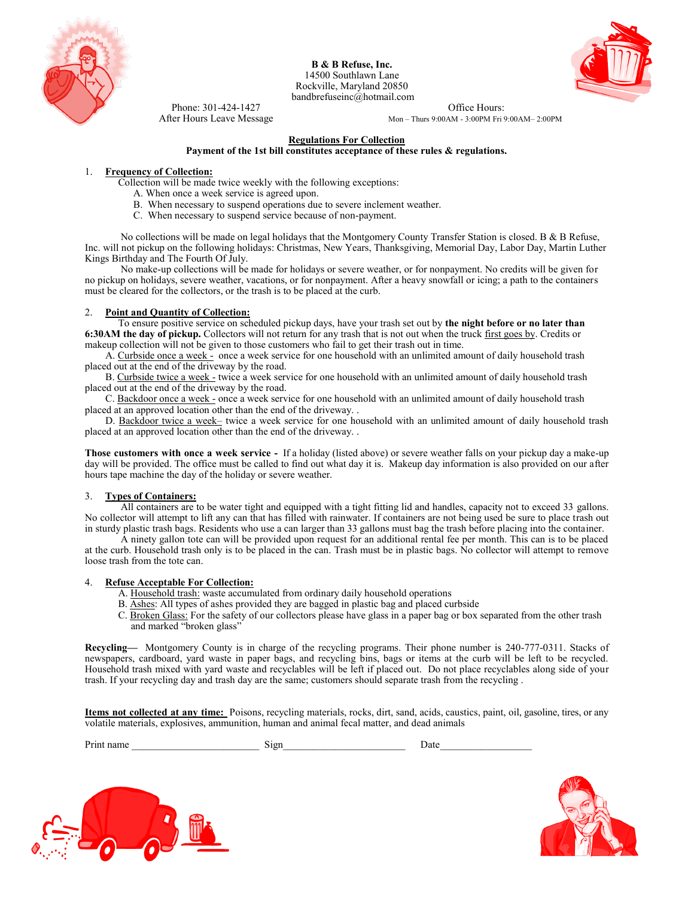

**B & B Refuse, Inc.** 14500 Southlawn Lane Rockville, Maryland 20850 bandbrefuseinc@hotmail.com



Phone: 301-424-1427 Office Hours:

After Hours Leave Message Mon – Thurs 9:00AM - 3:00PM Fri 9:00AM - 2:00PM

### **Regulations For Collection**

# **Payment of the 1st bill constitutes acceptance of these rules & regulations.**

### 1. **Frequency of Collection:**

Collection will be made twice weekly with the following exceptions:

- A. When once a week service is agreed upon.
- B. When necessary to suspend operations due to severe inclement weather.
- C. When necessary to suspend service because of non-payment.

 No collections will be made on legal holidays that the Montgomery County Transfer Station is closed. B & B Refuse, Inc. will not pickup on the following holidays: Christmas, New Years, Thanksgiving, Memorial Day, Labor Day, Martin Luther Kings Birthday and The Fourth Of July.

 No make-up collections will be made for holidays or severe weather, or for nonpayment. No credits will be given for no pickup on holidays, severe weather, vacations, or for nonpayment. After a heavy snowfall or icing; a path to the containers must be cleared for the collectors, or the trash is to be placed at the curb.

### 2. **Point and Quantity of Collection:**

 To ensure positive service on scheduled pickup days, have your trash set out by **the night before or no later than 6:30AM the day of pickup.** Collectors will not return for any trash that is not out when the truck first goes by. Credits or makeup collection will not be given to those customers who fail to get their trash out in time.

A. Curbside once a week - once a week service for one household with an unlimited amount of daily household trash placed out at the end of the driveway by the road.

 B. Curbside twice a week - twice a week service for one household with an unlimited amount of daily household trash placed out at the end of the driveway by the road.

C. Backdoor once a week - once a week service for one household with an unlimited amount of daily household trash placed at an approved location other than the end of the driveway. .

D. Backdoor twice a week- twice a week service for one household with an unlimited amount of daily household trash placed at an approved location other than the end of the driveway. .

**Those customers with once a week service -** If a holiday (listed above) or severe weather falls on your pickup day a make-up day will be provided. The office must be called to find out what day it is. Makeup day information is also provided on our after hours tape machine the day of the holiday or severe weather.

### 3. **Types of Containers:**

 All containers are to be water tight and equipped with a tight fitting lid and handles, capacity not to exceed 33 gallons. No collector will attempt to lift any can that has filled with rainwater. If containers are not being used be sure to place trash out in sturdy plastic trash bags. Residents who use a can larger than 33 gallons must bag the trash before placing into the container.

A ninety gallon tote can will be provided upon request for an additional rental fee per month. This can is to be placed at the curb. Household trash only is to be placed in the can. Trash must be in plastic bags. No collector will attempt to remove loose trash from the tote can.

### 4. **Refuse Acceptable For Collection:**

- A. Household trash: waste accumulated from ordinary daily household operations
- B. Ashes: All types of ashes provided they are bagged in plastic bag and placed curbside

C. Broken Glass: For the safety of our collectors please have glass in a paper bag or box separated from the other trash and marked "broken glass"

**Recycling—** Montgomery County is in charge of the recycling programs. Their phone number is 240-777-0311. Stacks of newspapers, cardboard, yard waste in paper bags, and recycling bins, bags or items at the curb will be left to be recycled. Household trash mixed with yard waste and recyclables will be left if placed out. Do not place recyclables along side of your trash. If your recycling day and trash day are the same; customers should separate trash from the recycling .

**Items not collected at any time:** Poisons, recycling materials, rocks, dirt, sand, acids, caustics, paint, oil, gasoline, tires, or any volatile materials, explosives, ammunition, human and animal fecal matter, and dead animals

Print name the contract of the Sign the Sign of the Date of Date of the Sign of the Sign of the Sign of the Sign